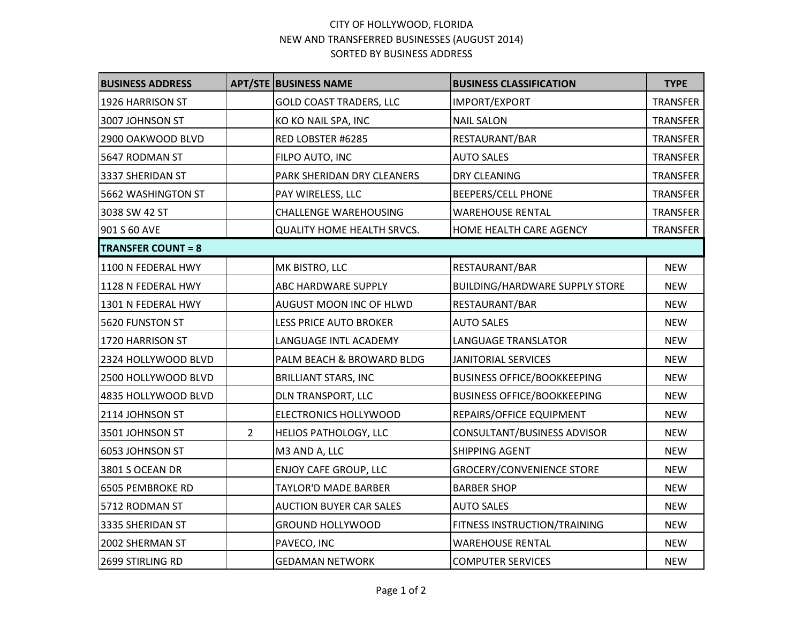## CITY OF HOLLYWOOD, FLORIDA NEW AND TRANSFERRED BUSINESSES (AUGUST 2014) SORTED BY BUSINESS ADDRESS

| <b>BUSINESS ADDRESS</b>   |                | <b>APT/STE BUSINESS NAME</b>      | <b>BUSINESS CLASSIFICATION</b>        | <b>TYPE</b>     |
|---------------------------|----------------|-----------------------------------|---------------------------------------|-----------------|
| 1926 HARRISON ST          |                | <b>GOLD COAST TRADERS, LLC</b>    | IMPORT/EXPORT                         | <b>TRANSFER</b> |
| 3007 JOHNSON ST           |                | KO KO NAIL SPA, INC               | <b>NAIL SALON</b>                     | <b>TRANSFER</b> |
| 2900 OAKWOOD BLVD         |                | RED LOBSTER #6285                 | RESTAURANT/BAR                        | <b>TRANSFER</b> |
| 5647 RODMAN ST            |                | FILPO AUTO, INC                   | <b>AUTO SALES</b>                     | <b>TRANSFER</b> |
| 3337 SHERIDAN ST          |                | PARK SHERIDAN DRY CLEANERS        | <b>DRY CLEANING</b>                   | <b>TRANSFER</b> |
| 5662 WASHINGTON ST        |                | PAY WIRELESS, LLC                 | <b>BEEPERS/CELL PHONE</b>             | <b>TRANSFER</b> |
| 3038 SW 42 ST             |                | <b>CHALLENGE WAREHOUSING</b>      | <b>WAREHOUSE RENTAL</b>               | <b>TRANSFER</b> |
| 901 S 60 AVE              |                | <b>QUALITY HOME HEALTH SRVCS.</b> | HOME HEALTH CARE AGENCY               | <b>TRANSFER</b> |
| <b>TRANSFER COUNT = 8</b> |                |                                   |                                       |                 |
| 1100 N FEDERAL HWY        |                | MK BISTRO, LLC                    | RESTAURANT/BAR                        | <b>NEW</b>      |
| 1128 N FEDERAL HWY        |                | ABC HARDWARE SUPPLY               | <b>BUILDING/HARDWARE SUPPLY STORE</b> | <b>NEW</b>      |
| 1301 N FEDERAL HWY        |                | AUGUST MOON INC OF HLWD           | RESTAURANT/BAR                        | <b>NEW</b>      |
| 5620 FUNSTON ST           |                | <b>LESS PRICE AUTO BROKER</b>     | <b>AUTO SALES</b>                     | <b>NEW</b>      |
| 1720 HARRISON ST          |                | LANGUAGE INTL ACADEMY             | LANGUAGE TRANSLATOR                   | <b>NEW</b>      |
| 2324 HOLLYWOOD BLVD       |                | PALM BEACH & BROWARD BLDG         | JANITORIAL SERVICES                   | <b>NEW</b>      |
| 2500 HOLLYWOOD BLVD       |                | <b>BRILLIANT STARS, INC</b>       | <b>BUSINESS OFFICE/BOOKKEEPING</b>    | <b>NEW</b>      |
| 4835 HOLLYWOOD BLVD       |                | <b>DLN TRANSPORT, LLC</b>         | <b>BUSINESS OFFICE/BOOKKEEPING</b>    | <b>NEW</b>      |
| 2114 JOHNSON ST           |                | ELECTRONICS HOLLYWOOD             | REPAIRS/OFFICE EQUIPMENT              | <b>NEW</b>      |
| 3501 JOHNSON ST           | $\overline{2}$ | HELIOS PATHOLOGY, LLC             | CONSULTANT/BUSINESS ADVISOR           | <b>NEW</b>      |
| 6053 JOHNSON ST           |                | M3 AND A, LLC                     | <b>SHIPPING AGENT</b>                 | <b>NEW</b>      |
| 3801 S OCEAN DR           |                | <b>ENJOY CAFE GROUP, LLC</b>      | <b>GROCERY/CONVENIENCE STORE</b>      | <b>NEW</b>      |
| 6505 PEMBROKE RD          |                | <b>TAYLOR'D MADE BARBER</b>       | <b>BARBER SHOP</b>                    | <b>NEW</b>      |
| 5712 RODMAN ST            |                | <b>AUCTION BUYER CAR SALES</b>    | <b>AUTO SALES</b>                     | <b>NEW</b>      |
| 3335 SHERIDAN ST          |                | <b>GROUND HOLLYWOOD</b>           | FITNESS INSTRUCTION/TRAINING          | <b>NEW</b>      |
| 2002 SHERMAN ST           |                | PAVECO, INC                       | <b>WAREHOUSE RENTAL</b>               | <b>NEW</b>      |
| 2699 STIRLING RD          |                | <b>GEDAMAN NETWORK</b>            | <b>COMPUTER SERVICES</b>              | <b>NEW</b>      |